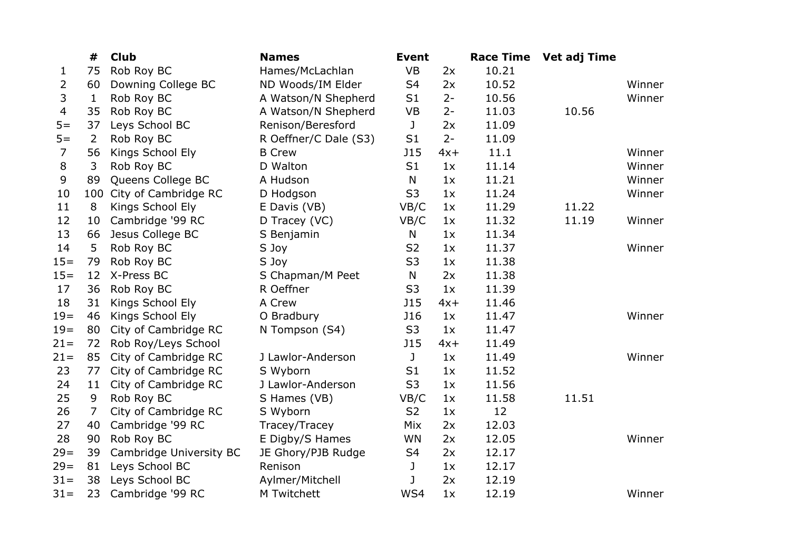|        | #              | <b>Club</b>              | <b>Names</b>          | <b>Event</b>   |       | <b>Race Time</b> | <b>Vet adj Time</b> |        |
|--------|----------------|--------------------------|-----------------------|----------------|-------|------------------|---------------------|--------|
| 1      | 75             | Rob Roy BC               | Hames/McLachlan       | <b>VB</b>      | 2x    | 10.21            |                     |        |
| 2      | 60             | Downing College BC       | ND Woods/IM Elder     | S <sub>4</sub> | 2x    | 10.52            |                     | Winner |
| 3      | $\mathbf{1}$   | Rob Roy BC               | A Watson/N Shepherd   | S <sub>1</sub> | $2 -$ | 10.56            |                     | Winner |
| 4      | 35             | Rob Roy BC               | A Watson/N Shepherd   | <b>VB</b>      | $2 -$ | 11.03            | 10.56               |        |
| $5=$   | 37             | Leys School BC           | Renison/Beresford     | J              | 2x    | 11.09            |                     |        |
| $5 =$  | 2              | Rob Roy BC               | R Oeffner/C Dale (S3) | S1             | $2 -$ | 11.09            |                     |        |
| 7      | 56             | Kings School Ely         | <b>B</b> Crew         | <b>J15</b>     | $4x+$ | 11.1             |                     | Winner |
| 8      | 3              | Rob Roy BC               | D Walton              | S <sub>1</sub> | 1x    | 11.14            |                     | Winner |
| 9      | 89             | Queens College BC        | A Hudson              | N              | 1x    | 11.21            |                     | Winner |
| 10     |                | 100 City of Cambridge RC | D Hodgson             | S <sub>3</sub> | 1x    | 11.24            |                     | Winner |
| 11     | 8              | Kings School Ely         | E Davis (VB)          | VB/C           | 1x    | 11.29            | 11.22               |        |
| 12     | 10             | Cambridge '99 RC         | D Tracey (VC)         | VB/C           | 1x    | 11.32            | 11.19               | Winner |
| 13     | 66             | Jesus College BC         | S Benjamin            | N              | 1x    | 11.34            |                     |        |
| 14     | 5              | Rob Roy BC               | S Joy                 | S <sub>2</sub> | 1x    | 11.37            |                     | Winner |
| $15 =$ | 79             | Rob Roy BC               | S Joy                 | S <sub>3</sub> | 1x    | 11.38            |                     |        |
| $15=$  | 12             | X-Press BC               | S Chapman/M Peet      | N              | 2x    | 11.38            |                     |        |
| 17     | 36             | Rob Roy BC               | R Oeffner             | S <sub>3</sub> | 1x    | 11.39            |                     |        |
| 18     | 31             | Kings School Ely         | A Crew                | <b>J15</b>     | $4x+$ | 11.46            |                     |        |
| $19=$  | 46             | Kings School Ely         | O Bradbury            | <b>J16</b>     | 1x    | 11.47            |                     | Winner |
| $19 =$ | 80             | City of Cambridge RC     | N Tompson (S4)        | S <sub>3</sub> | 1x    | 11.47            |                     |        |
| $21 =$ | 72             | Rob Roy/Leys School      |                       | <b>J15</b>     | $4x+$ | 11.49            |                     |        |
| $21 =$ | 85             | City of Cambridge RC     | J Lawlor-Anderson     | J              | 1x    | 11.49            |                     | Winner |
| 23     | 77             | City of Cambridge RC     | S Wyborn              | S1             | 1x    | 11.52            |                     |        |
| 24     | 11             | City of Cambridge RC     | J Lawlor-Anderson     | S <sub>3</sub> | 1x    | 11.56            |                     |        |
| 25     | 9              | Rob Roy BC               | S Hames (VB)          | VB/C           | 1x    | 11.58            | 11.51               |        |
| 26     | $\overline{7}$ | City of Cambridge RC     | S Wyborn              | S <sub>2</sub> | 1x    | 12               |                     |        |
| 27     | 40             | Cambridge '99 RC         | Tracey/Tracey         | Mix            | 2x    | 12.03            |                     |        |
| 28     | 90             | Rob Roy BC               | E Digby/S Hames       | WN             | 2x    | 12.05            |                     | Winner |
| $29=$  | 39             | Cambridge University BC  | JE Ghory/PJB Rudge    | S <sub>4</sub> | 2x    | 12.17            |                     |        |
| $29=$  | 81             | Leys School BC           | Renison               | J              | 1x    | 12.17            |                     |        |
| $31 =$ | 38             | Leys School BC           | Aylmer/Mitchell       | J              | 2x    | 12.19            |                     |        |
| $31 =$ | 23             | Cambridge '99 RC         | M Twitchett           | WS4            | 1x    | 12.19            |                     | Winner |
|        |                |                          |                       |                |       |                  |                     |        |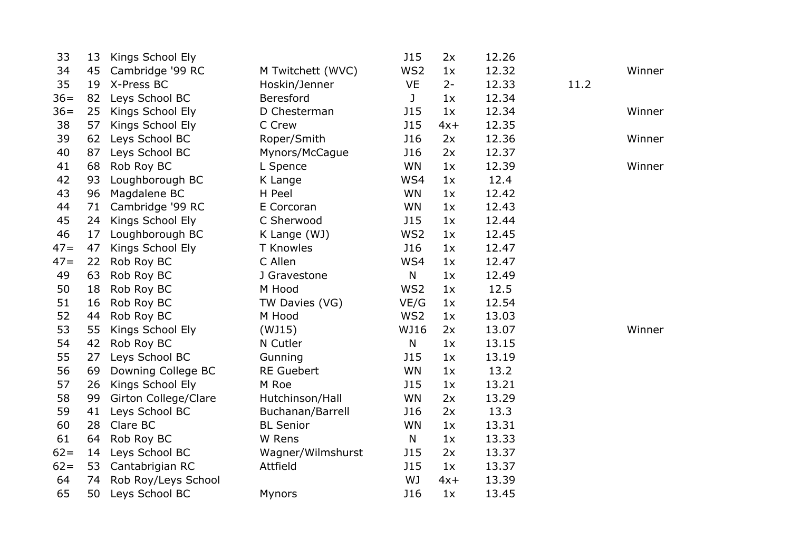| 33     | 13 | Kings School Ely     |                   | <b>J15</b>      | 2x    | 12.26 |      |        |
|--------|----|----------------------|-------------------|-----------------|-------|-------|------|--------|
| 34     | 45 | Cambridge '99 RC     | M Twitchett (WVC) | WS2             | 1x    | 12.32 |      | Winner |
| 35     | 19 | X-Press BC           | Hoskin/Jenner     | <b>VE</b>       | $2 -$ | 12.33 | 11.2 |        |
| $36=$  | 82 | Leys School BC       | <b>Beresford</b>  | J               | 1x    | 12.34 |      |        |
| $36=$  | 25 | Kings School Ely     | D Chesterman      | <b>J15</b>      | 1x    | 12.34 |      | Winner |
| 38     | 57 | Kings School Ely     | C Crew            | <b>J15</b>      | $4x+$ | 12.35 |      |        |
| 39     | 62 | Leys School BC       | Roper/Smith       | <b>J16</b>      | 2x    | 12.36 |      | Winner |
| 40     | 87 | Leys School BC       | Mynors/McCague    | <b>J16</b>      | 2x    | 12.37 |      |        |
| 41     | 68 | Rob Roy BC           | L Spence          | WN              | 1x    | 12.39 |      | Winner |
| 42     | 93 | Loughborough BC      | K Lange           | WS4             | 1x    | 12.4  |      |        |
| 43     | 96 | Magdalene BC         | H Peel            | <b>WN</b>       | 1x    | 12.42 |      |        |
| 44     | 71 | Cambridge '99 RC     | E Corcoran        | WN              | 1x    | 12.43 |      |        |
| 45     | 24 | Kings School Ely     | C Sherwood        | <b>J15</b>      | 1x    | 12.44 |      |        |
| 46     | 17 | Loughborough BC      | K Lange (WJ)      | WS2             | 1x    | 12.45 |      |        |
| $47=$  | 47 | Kings School Ely     | <b>T</b> Knowles  | <b>J16</b>      | 1x    | 12.47 |      |        |
| $47=$  | 22 | Rob Roy BC           | C Allen           | WS4             | 1x    | 12.47 |      |        |
| 49     | 63 | Rob Roy BC           | J Gravestone      | $\mathsf{N}$    | 1x    | 12.49 |      |        |
| 50     | 18 | Rob Roy BC           | M Hood            | WS <sub>2</sub> | 1x    | 12.5  |      |        |
| 51     | 16 | Rob Roy BC           | TW Davies (VG)    | VE/G            | 1x    | 12.54 |      |        |
| 52     | 44 | Rob Roy BC           | M Hood            | WS2             | 1x    | 13.03 |      |        |
| 53     | 55 | Kings School Ely     | (WJ15)            | WJ16            | 2x    | 13.07 |      | Winner |
| 54     | 42 | Rob Roy BC           | N Cutler          | $\mathsf{N}$    | 1x    | 13.15 |      |        |
| 55     | 27 | Leys School BC       | Gunning           | <b>J15</b>      | 1x    | 13.19 |      |        |
| 56     | 69 | Downing College BC   | <b>RE Guebert</b> | WN              | 1x    | 13.2  |      |        |
| 57     | 26 | Kings School Ely     | M Roe             | <b>J15</b>      | 1x    | 13.21 |      |        |
| 58     | 99 | Girton College/Clare | Hutchinson/Hall   | WN              | 2x    | 13.29 |      |        |
| 59     | 41 | Leys School BC       | Buchanan/Barrell  | <b>J16</b>      | 2x    | 13.3  |      |        |
| 60     | 28 | Clare BC             | <b>BL Senior</b>  | WN              | 1x    | 13.31 |      |        |
| 61     | 64 | Rob Roy BC           | W Rens            | N               | 1x    | 13.33 |      |        |
| $62 =$ | 14 | Leys School BC       | Wagner/Wilmshurst | <b>J15</b>      | 2x    | 13.37 |      |        |
| $62 =$ | 53 | Cantabrigian RC      | Attfield          | <b>J15</b>      | 1x    | 13.37 |      |        |
| 64     | 74 | Rob Roy/Leys School  |                   | WJ              | $4x+$ | 13.39 |      |        |
| 65     | 50 | Leys School BC       | <b>Mynors</b>     | <b>J16</b>      | 1x    | 13.45 |      |        |
|        |    |                      |                   |                 |       |       |      |        |